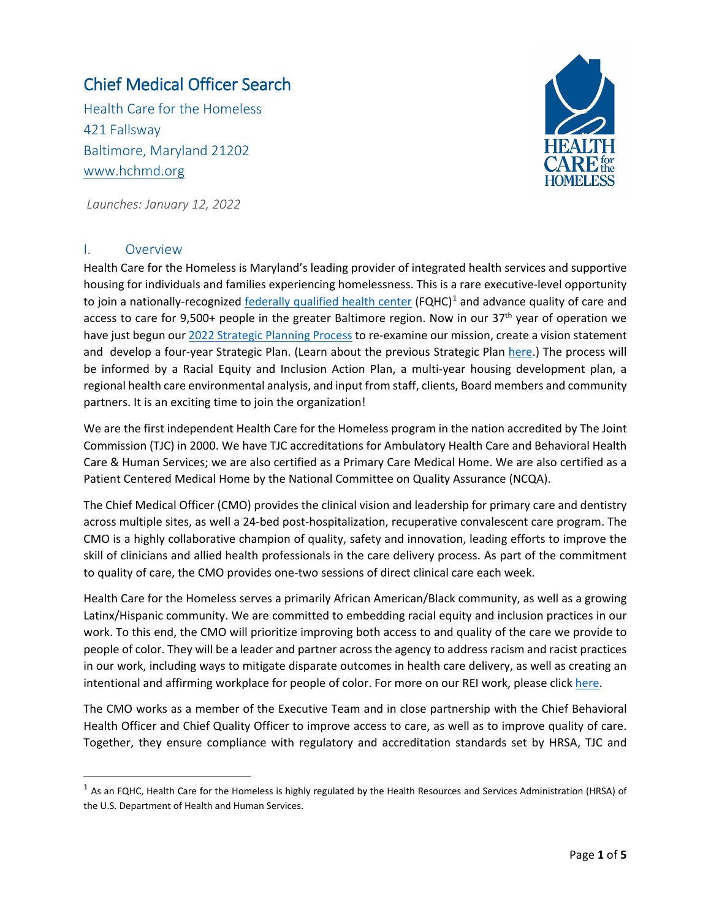# Chief Medical Officer Search

Health Care for the Homeless 421 Fallsway Baltimore, Maryland 21202 [www.hchmd.org](http://www.hchmd.org/)



*Launches: January 12, 2022*

#### I. Overview

Health Care for the Homeless is Maryland's leading provider of integrated health services and supportive housing for individuals and families experiencing homelessness. This is a rare executive-level opportunity to join a nationally-recognized [federally qualified health center](https://bphc.hrsa.gov/about/what-is-a-health-center/index.html)  $(FQHC)^1$  $(FQHC)^1$  and advance quality of care and access to care for 9,500+ people in the greater Baltimore region. Now in our  $37<sup>th</sup>$  year of operation we have just begun ou[r 2022 Strategic Planning Process](https://www.hchmd.org/strategic-planning-february-may-2022) to re-examine our mission, create a vision statement and develop a four-year Strategic Plan. (Learn about the previous Strategic Plan [here.](https://www.hchmd.org/2018-2021-strategic-plan)) The process will be informed by a Racial Equity and Inclusion Action Plan, a multi-year housing development plan, a regional health care environmental analysis, and input from staff, clients, Board members and community partners. It is an exciting time to join the organization!

We are the first independent Health Care for the Homeless program in the nation accredited by The Joint Commission (TJC) in 2000. We have TJC accreditations for Ambulatory Health Care and Behavioral Health Care & Human Services; we are also certified as a Primary Care Medical Home. We are also certified as a Patient Centered Medical Home by the National Committee on Quality Assurance (NCQA).

The Chief Medical Officer (CMO) provides the clinical vision and leadership for primary care and dentistry across multiple sites, as well a 24-bed post-hospitalization, recuperative convalescent care program. The CMO is a highly collaborative champion of quality, safety and innovation, leading efforts to improve the skill of clinicians and allied health professionals in the care delivery process. As part of the commitment to quality of care, the CMO provides one-two sessions of direct clinical care each week.

Health Care for the Homeless serves a primarily African American/Black community, as well as a growing Latinx/Hispanic community. We are committed to embedding racial equity and inclusion practices in our work. To this end, the CMO will prioritize improving both access to and quality of the care we provide to people of color. They will be a leader and partner across the agency to address racism and racist practices in our work, including ways to mitigate disparate outcomes in health care delivery, as well as creating an intentional and affirming workplace for people of color. For more on our REI work, please clic[k here.](https://www.hchmd.org/rei)

The CMO works as a member of the Executive Team and in close partnership with the Chief Behavioral Health Officer and Chief Quality Officer to improve access to care, as well as to improve quality of care. Together, they ensure compliance with regulatory and accreditation standards set by HRSA, TJC and

<span id="page-0-0"></span> $1$  As an FQHC, Health Care for the Homeless is highly regulated by the Health Resources and Services Administration (HRSA) of the U.S. Department of Health and Human Services.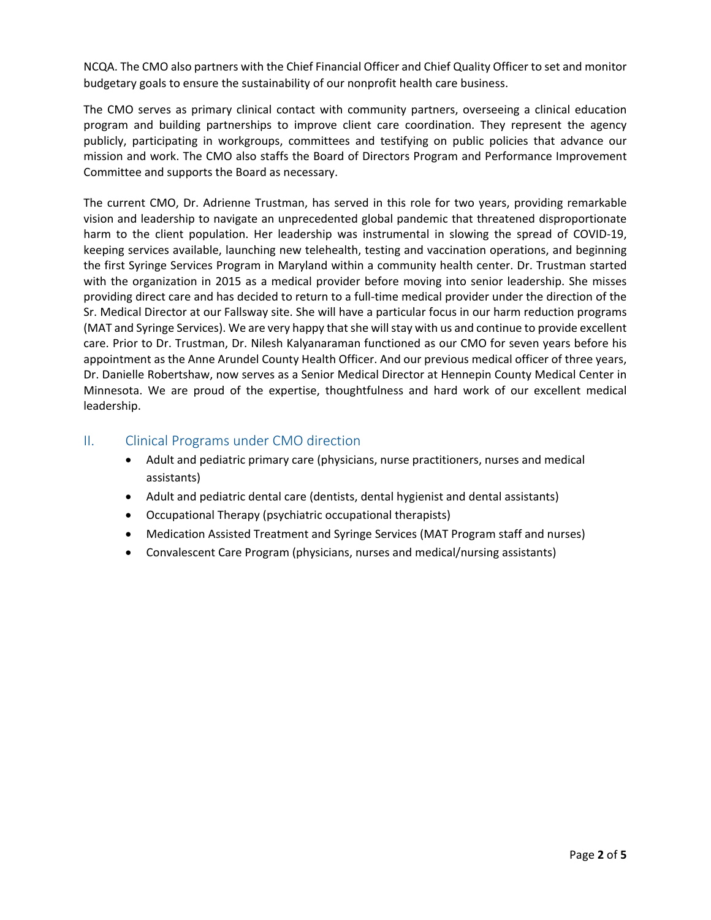NCQA. The CMO also partners with the Chief Financial Officer and Chief Quality Officer to set and monitor budgetary goals to ensure the sustainability of our nonprofit health care business.

The CMO serves as primary clinical contact with community partners, overseeing a clinical education program and building partnerships to improve client care coordination. They represent the agency publicly, participating in workgroups, committees and testifying on public policies that advance our mission and work. The CMO also staffs the Board of Directors Program and Performance Improvement Committee and supports the Board as necessary.

The current CMO, Dr. Adrienne Trustman, has served in this role for two years, providing remarkable vision and leadership to navigate an unprecedented global pandemic that threatened disproportionate harm to the client population. Her leadership was instrumental in slowing the spread of COVID-19, keeping services available, launching new telehealth, testing and vaccination operations, and beginning the first Syringe Services Program in Maryland within a community health center. Dr. Trustman started with the organization in 2015 as a medical provider before moving into senior leadership. She misses providing direct care and has decided to return to a full-time medical provider under the direction of the Sr. Medical Director at our Fallsway site. She will have a particular focus in our harm reduction programs (MAT and Syringe Services). We are very happy that she will stay with us and continue to provide excellent care. Prior to Dr. Trustman, Dr. Nilesh Kalyanaraman functioned as our CMO for seven years before his appointment as the Anne Arundel County Health Officer. And our previous medical officer of three years, Dr. Danielle Robertshaw, now serves as a Senior Medical Director at Hennepin County Medical Center in Minnesota. We are proud of the expertise, thoughtfulness and hard work of our excellent medical leadership.

### II. Clinical Programs under CMO direction

- Adult and pediatric primary care (physicians, nurse practitioners, nurses and medical assistants)
- Adult and pediatric dental care (dentists, dental hygienist and dental assistants)
- Occupational Therapy (psychiatric occupational therapists)
- Medication Assisted Treatment and Syringe Services (MAT Program staff and nurses)
- Convalescent Care Program (physicians, nurses and medical/nursing assistants)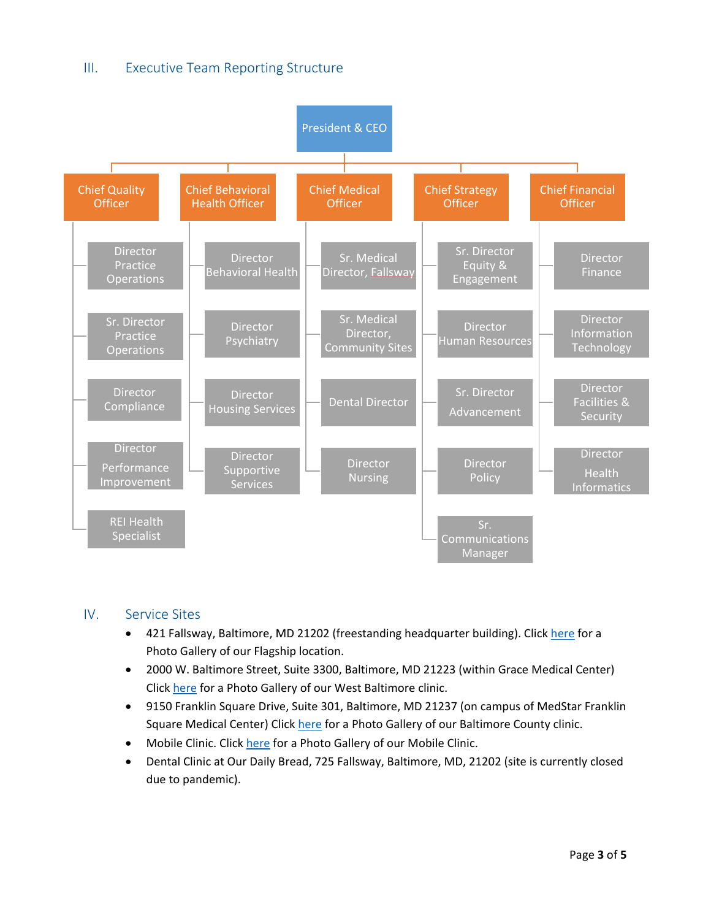## III. Executive Team Reporting Structure



#### IV. Service Sites

- 421 Fallsway, Baltimore, MD 21202 (freestanding headquarter building). Clic[k here](https://www.hchmd.org/galleries/421-fallsway) for a Photo Gallery of our Flagship location.
- 2000 W. Baltimore Street, Suite 3300, Baltimore, MD 21223 (within Grace Medical Center) Click [here](https://www.hchmd.org/galleries/take-look-our-new-west-baltimore-clinic-space) for a Photo Gallery of our West Baltimore clinic.
- 9150 Franklin Square Drive, Suite 301, Baltimore, MD 21237 (on campus of MedStar Franklin Square Medical Center) Click [here](https://www.hchmd.org/galleries/our-new-clinic-baltimore-county) for a Photo Gallery of our Baltimore County clinic.
- Mobile Clinic. Click [here](https://www.hchmd.org/galleries/mobile-clinic) for a Photo Gallery of our Mobile Clinic.
- Dental Clinic at Our Daily Bread, 725 Fallsway, Baltimore, MD, 21202 (site is currently closed due to pandemic).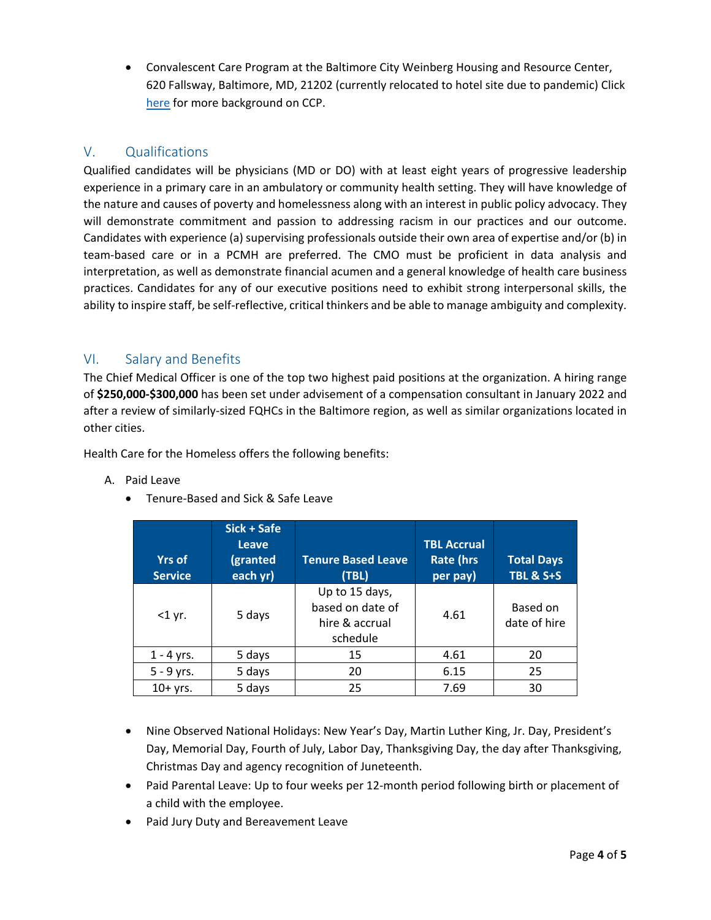• Convalescent Care Program at the Baltimore City Weinberg Housing and Resource Center, 620 Fallsway, Baltimore, MD, 21202 (currently relocated to hotel site due to pandemic) Click [here](https://www.hchmd.org/news/saving-lives-recuperative-care) for more background on CCP.

# V. Qualifications

Qualified candidates will be physicians (MD or DO) with at least eight years of progressive leadership experience in a primary care in an ambulatory or community health setting. They will have knowledge of the nature and causes of poverty and homelessness along with an interest in public policy advocacy. They will demonstrate commitment and passion to addressing racism in our practices and our outcome. Candidates with experience (a) supervising professionals outside their own area of expertise and/or (b) in team-based care or in a PCMH are preferred. The CMO must be proficient in data analysis and interpretation, as well as demonstrate financial acumen and a general knowledge of health care business practices. Candidates for any of our executive positions need to exhibit strong interpersonal skills, the ability to inspire staff, be self-reflective, critical thinkers and be able to manage ambiguity and complexity.

## VI. Salary and Benefits

The Chief Medical Officer is one of the top two highest paid positions at the organization. A hiring range of **\$250,000-\$300,000** has been set under advisement of a compensation consultant in January 2022 and after a review of similarly-sized FQHCs in the Baltimore region, as well as similar organizations located in other cities.

Health Care for the Homeless offers the following benefits:

| Paid Leave<br>А. |  |
|------------------|--|
|------------------|--|

• Tenure-Based and Sick & Safe Leave

| <b>Yrs of</b><br><b>Service</b> | Sick + Safe<br><b>Leave</b><br>(granted<br>each yr) | <b>Tenure Based Leave</b><br>(TBL)                               | <b>TBL Accrual</b><br><b>Rate (hrs</b><br>per pay) | <b>Total Days</b><br><b>TBL &amp; S+S</b> |
|---------------------------------|-----------------------------------------------------|------------------------------------------------------------------|----------------------------------------------------|-------------------------------------------|
| $<$ 1 yr.                       | 5 days                                              | Up to 15 days,<br>based on date of<br>hire & accrual<br>schedule | 4.61                                               | Based on<br>date of hire                  |
| $1 - 4$ yrs.                    | 5 days                                              | 15                                                               | 4.61                                               | 20                                        |
| $5 - 9$ yrs.                    | 5 days                                              | 20                                                               | 6.15                                               | 25                                        |
| $10+$ yrs.                      | 5 days                                              | 25                                                               | 7.69                                               | 30                                        |

- Nine Observed National Holidays: New Year's Day, Martin Luther King, Jr. Day, President's Day, Memorial Day, Fourth of July, Labor Day, Thanksgiving Day, the day after Thanksgiving, Christmas Day and agency recognition of Juneteenth.
- Paid Parental Leave: Up to four weeks per 12-month period following birth or placement of a child with the employee.
- Paid Jury Duty and Bereavement Leave